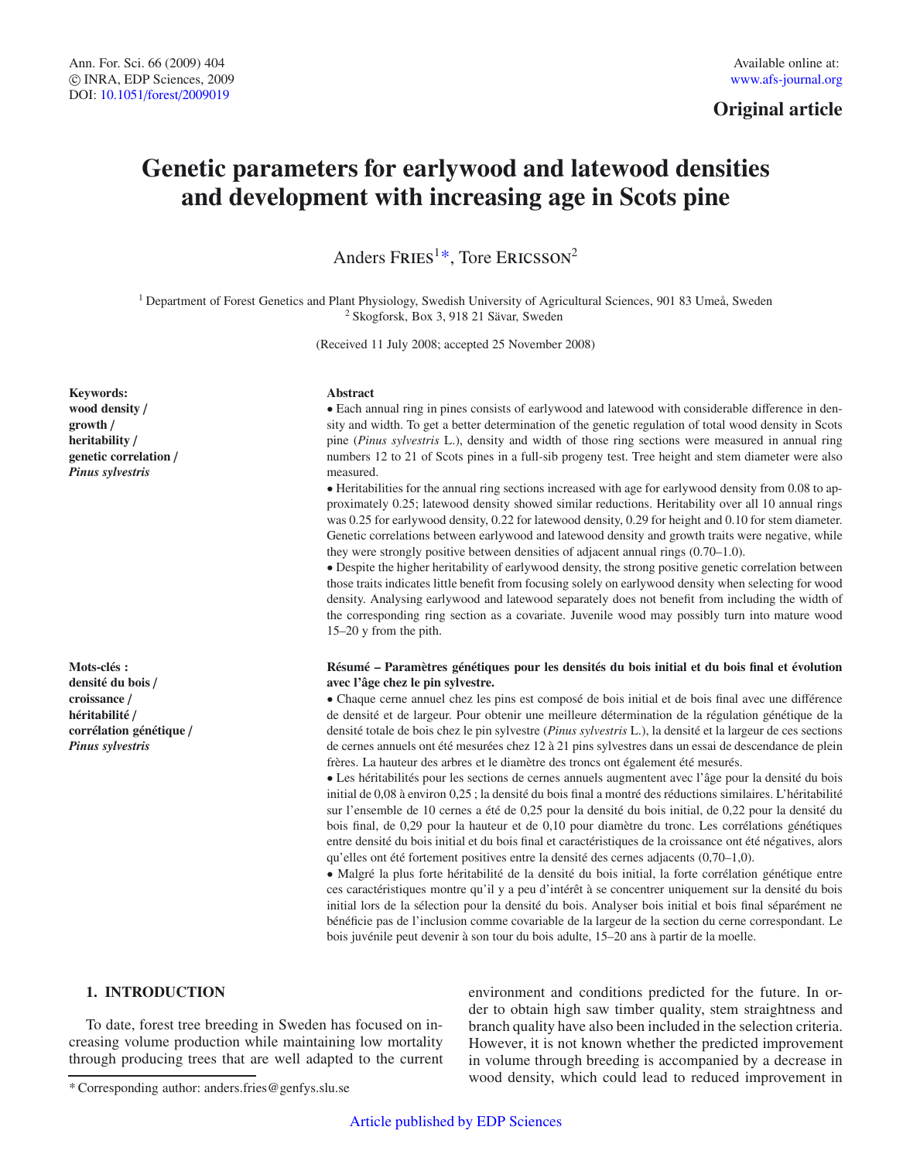# **Original article**

# **Genetic parameters for earlywood and latewood densities and development with increasing age in Scots pine**

Anders  $FRIES^{1*}$ , Tore ERICSSON<sup>2</sup>

<sup>1</sup> Department of Forest Genetics and Plant Physiology, Swedish University of Agricultural Sciences, 901 83 Umeå, Sweden <sup>2</sup> Skogforsk, Box 3, 918 21 Sävar, Sweden

(Received 11 July 2008; accepted 25 November 2008)

#### **Abstract**

• Each annual ring in pines consists of earlywood and latewood with considerable difference in density and width. To get a better determination of the genetic regulation of total wood density in Scots pine (*Pinus sylvestris* L.), density and width of those ring sections were measured in annual ring numbers 12 to 21 of Scots pines in a full-sib progeny test. Tree height and stem diameter were also measured.

• Heritabilities for the annual ring sections increased with age for earlywood density from 0.08 to approximately 0.25; latewood density showed similar reductions. Heritability over all 10 annual rings was 0.25 for earlywood density, 0.22 for latewood density, 0.29 for height and 0.10 for stem diameter. Genetic correlations between earlywood and latewood density and growth traits were negative, while they were strongly positive between densities of adjacent annual rings (0.70–1.0).

• Despite the higher heritability of earlywood density, the strong positive genetic correlation between those traits indicates little benefit from focusing solely on earlywood density when selecting for wood density. Analysing earlywood and latewood separately does not benefit from including the width of the corresponding ring section as a covariate. Juvenile wood may possibly turn into mature wood 15–20 y from the pith.

#### **Résumé – Paramètres génétiques pour les densités du bois initial et du bois final et évolution avec l'âge chez le pin sylvestre.**

• Chaque cerne annuel chez les pins est composé de bois initial et de bois final avec une différence de densité et de largeur. Pour obtenir une meilleure détermination de la régulation génétique de la densité totale de bois chez le pin sylvestre (*Pinus sylvestris* L.), la densité et la largeur de ces sections de cernes annuels ont été mesurées chez 12 à 21 pins sylvestres dans un essai de descendance de plein frères. La hauteur des arbres et le diamètre des troncs ont également été mesurés.

• Les héritabilités pour les sections de cernes annuels augmentent avec l'âge pour la densité du bois initial de 0,08 à environ 0,25 ; la densité du bois final a montré des réductions similaires. L'héritabilité sur l'ensemble de 10 cernes a été de 0,25 pour la densité du bois initial, de 0,22 pour la densité du bois final, de 0,29 pour la hauteur et de 0,10 pour diamètre du tronc. Les corrélations génétiques entre densité du bois initial et du bois final et caractéristiques de la croissance ont été négatives, alors qu'elles ont été fortement positives entre la densité des cernes adjacents (0,70–1,0).

• Malgré la plus forte héritabilité de la densité du bois initial, la forte corrélation génétique entre ces caractéristiques montre qu'il y a peu d'intérêt à se concentrer uniquement sur la densité du bois initial lors de la sélection pour la densité du bois. Analyser bois initial et bois final séparément ne bénéficie pas de l'inclusion comme covariable de la largeur de la section du cerne correspondant. Le bois juvénile peut devenir à son tour du bois adulte, 15–20 ans à partir de la moelle.

## **1. INTRODUCTION**

To date, forest tree breeding in Sweden has focused on increasing volume production while maintaining low mortality through producing trees that are well adapted to the current environment and conditions predicted for the future. In order to obtain high saw timber quality, stem straightness and branch quality have also been included in the selection criteria. However, it is not known whether the predicted improvement in volume through breeding is accompanied by a decrease in wood density, which could lead to reduced improvement in

**Keywords: wood density** / **growth** / **heritability** / **genetic correlation** / *Pinus sylvestris*

**Mots-clés : densité du bois** / **croissance** / **héritabilité** / **corrélation génétique** / *Pinus sylvestris*

<sup>\*</sup> Corresponding author: anders.fries@genfys.slu.se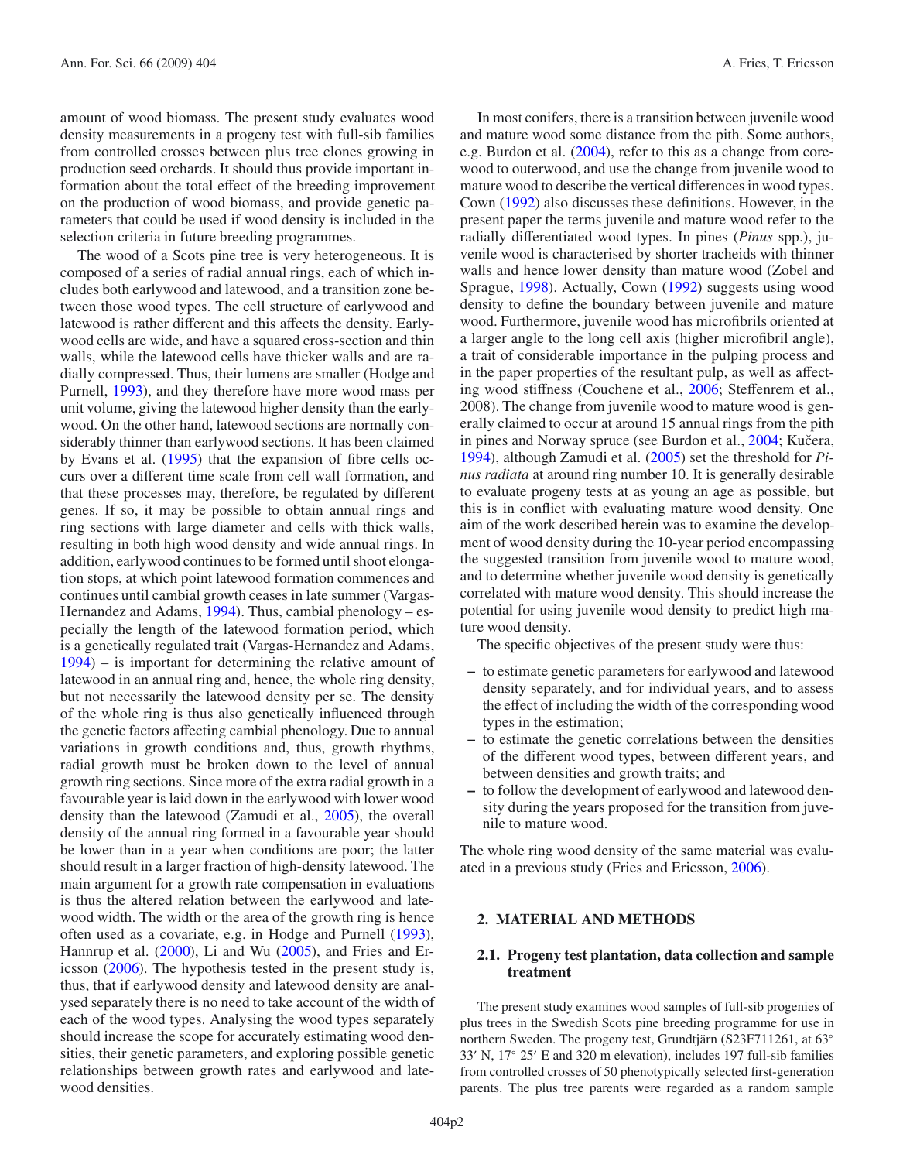amount of wood biomass. The present study evaluates wood density measurements in a progeny test with full-sib families from controlled crosses between plus tree clones growing in production seed orchards. It should thus provide important information about the total effect of the breeding improvement on the production of wood biomass, and provide genetic parameters that could be used if wood density is included in the selection criteria in future breeding programmes.

The wood of a Scots pine tree is very heterogeneous. It is composed of a series of radial annual rings, each of which includes both earlywood and latewood, and a transition zone between those wood types. The cell structure of earlywood and latewood is rather different and this affects the density. Earlywood cells are wide, and have a squared cross-section and thin walls, while the latewood cells have thicker walls and are radially compressed. Thus, their lumens are smaller (Hodge and Purnell, [1993](#page-7-0)), and they therefore have more wood mass per unit volume, giving the latewood higher density than the earlywood. On the other hand, latewood sections are normally considerably thinner than earlywood sections. It has been claimed by Evans et al. [\(1995](#page-7-1)) that the expansion of fibre cells occurs over a different time scale from cell wall formation, and that these processes may, therefore, be regulated by different genes. If so, it may be possible to obtain annual rings and ring sections with large diameter and cells with thick walls, resulting in both high wood density and wide annual rings. In addition, earlywood continues to be formed until shoot elongation stops, at which point latewood formation commences and continues until cambial growth ceases in late summer (Vargas-Hernandez and Adams, [1994\)](#page-7-2). Thus, cambial phenology – especially the length of the latewood formation period, which is a genetically regulated trait (Vargas-Hernandez and Adams, [1994\)](#page-7-2) – is important for determining the relative amount of latewood in an annual ring and, hence, the whole ring density, but not necessarily the latewood density per se. The density of the whole ring is thus also genetically influenced through the genetic factors affecting cambial phenology. Due to annual variations in growth conditions and, thus, growth rhythms, radial growth must be broken down to the level of annual growth ring sections. Since more of the extra radial growth in a favourable year is laid down in the earlywood with lower wood density than the latewood (Zamudi et al., [2005\)](#page-7-3), the overall density of the annual ring formed in a favourable year should be lower than in a year when conditions are poor; the latter should result in a larger fraction of high-density latewood. The main argument for a growth rate compensation in evaluations is thus the altered relation between the earlywood and latewood width. The width or the area of the growth ring is hence often used as a covariate, e.g. in Hodge and Purnell [\(1993\)](#page-7-0), Hannrup et al. [\(2000](#page-7-4)), Li and Wu [\(2005\)](#page-7-5), and Fries and Ericsson [\(2006\)](#page-7-6). The hypothesis tested in the present study is, thus, that if earlywood density and latewood density are analysed separately there is no need to take account of the width of each of the wood types. Analysing the wood types separately should increase the scope for accurately estimating wood densities, their genetic parameters, and exploring possible genetic relationships between growth rates and earlywood and latewood densities.

In most conifers, there is a transition between juvenile wood and mature wood some distance from the pith. Some authors, e.g. Burdon et al. [\(2004\)](#page-7-7), refer to this as a change from corewood to outerwood, and use the change from juvenile wood to mature wood to describe the vertical differences in wood types. Cown [\(1992\)](#page-7-8) also discusses these definitions. However, in the present paper the terms juvenile and mature wood refer to the radially differentiated wood types. In pines (*Pinus* spp.), juvenile wood is characterised by shorter tracheids with thinner walls and hence lower density than mature wood (Zobel and Sprague, [1998\)](#page-7-9). Actually, Cown [\(1992\)](#page-7-8) suggests using wood density to define the boundary between juvenile and mature wood. Furthermore, juvenile wood has microfibrils oriented at a larger angle to the long cell axis (higher microfibril angle), a trait of considerable importance in the pulping process and in the paper properties of the resultant pulp, as well as affecting wood stiffness (Couchene et al., [2006;](#page-7-10) Steffenrem et al., 2008). The change from juvenile wood to mature wood is generally claimed to occur at around 15 annual rings from the pith in pines and Norway spruce (see Burdon et al., [2004;](#page-7-7) Kučera, [1994\)](#page-7-11), although Zamudi et al. [\(2005\)](#page-7-3) set the threshold for *Pinus radiata* at around ring number 10. It is generally desirable to evaluate progeny tests at as young an age as possible, but this is in conflict with evaluating mature wood density. One aim of the work described herein was to examine the development of wood density during the 10-year period encompassing the suggested transition from juvenile wood to mature wood, and to determine whether juvenile wood density is genetically correlated with mature wood density. This should increase the potential for using juvenile wood density to predict high mature wood density.

The specific objectives of the present study were thus:

- **–** to estimate genetic parameters for earlywood and latewood density separately, and for individual years, and to assess the effect of including the width of the corresponding wood types in the estimation;
- **–** to estimate the genetic correlations between the densities of the different wood types, between different years, and between densities and growth traits; and
- **–** to follow the development of earlywood and latewood density during the years proposed for the transition from juvenile to mature wood.

The whole ring wood density of the same material was evaluated in a previous study (Fries and Ericsson, [2006](#page-7-6)).

#### **2. MATERIAL AND METHODS**

#### **2.1. Progeny test plantation, data collection and sample treatment**

The present study examines wood samples of full-sib progenies of plus trees in the Swedish Scots pine breeding programme for use in northern Sweden. The progeny test, Grundtjärn (S23F711261, at 63◦ 33′ N, 17° 25′ E and 320 m elevation), includes 197 full-sib families from controlled crosses of 50 phenotypically selected first-generation parents. The plus tree parents were regarded as a random sample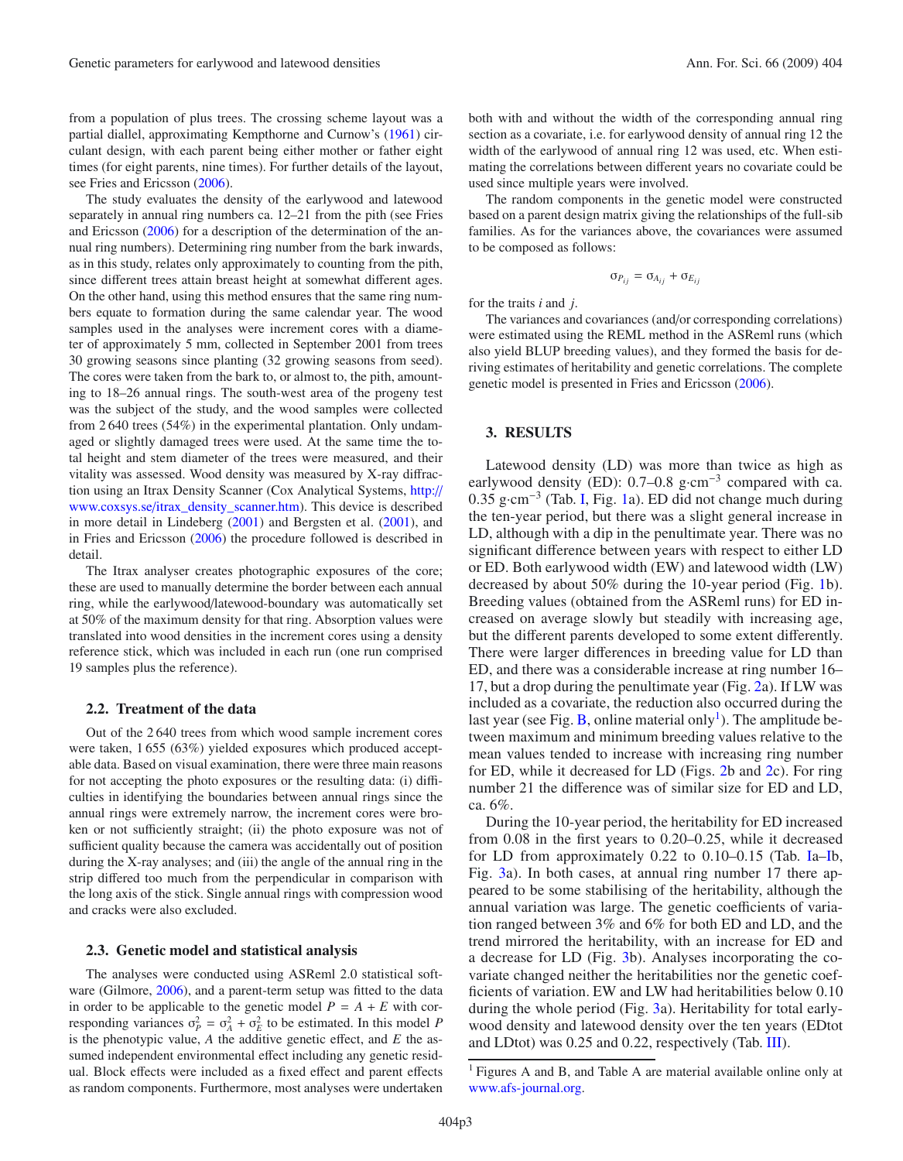from a population of plus trees. The crossing scheme layout was a partial diallel, approximating Kempthorne and Curnow's [\(1961](#page-7-12)) circulant design, with each parent being either mother or father eight times (for eight parents, nine times). For further details of the layout, see Fries and Ericsson [\(2006](#page-7-6)).

The study evaluates the density of the earlywood and latewood separately in annual ring numbers ca. 12–21 from the pith (see Fries and Ericsson [\(2006](#page-7-6)) for a description of the determination of the annual ring numbers). Determining ring number from the bark inwards, as in this study, relates only approximately to counting from the pith, since different trees attain breast height at somewhat different ages. On the other hand, using this method ensures that the same ring numbers equate to formation during the same calendar year. The wood samples used in the analyses were increment cores with a diameter of approximately 5 mm, collected in September 2001 from trees 30 growing seasons since planting (32 growing seasons from seed). The cores were taken from the bark to, or almost to, the pith, amounting to 18–26 annual rings. The south-west area of the progeny test was the subject of the study, and the wood samples were collected from 2 640 trees (54%) in the experimental plantation. Only undamaged or slightly damaged trees were used. At the same time the total height and stem diameter of the trees were measured, and their vitality was assessed. Wood density was measured by X-ray diffraction using an Itrax Density Scanner (Cox Analytical Systems, [http:](http://www.coxsys.se/itrax{_}density{_}scanner.htm)// www.coxsys.se/[itrax\\_density\\_scanner.htm\)](http://www.coxsys.se/itrax{_}density{_}scanner.htm). This device is described in more detail in Lindeberg [\(2001](#page-7-13)) and Bergsten et al. [\(2001\)](#page-7-14), and in Fries and Ericsson [\(2006](#page-7-6)) the procedure followed is described in detail.

The Itrax analyser creates photographic exposures of the core; these are used to manually determine the border between each annual ring, while the earlywood/latewood-boundary was automatically set at 50% of the maximum density for that ring. Absorption values were translated into wood densities in the increment cores using a density reference stick, which was included in each run (one run comprised 19 samples plus the reference).

#### **2.2. Treatment of the data**

Out of the 2 640 trees from which wood sample increment cores were taken, 1 655 (63%) yielded exposures which produced acceptable data. Based on visual examination, there were three main reasons for not accepting the photo exposures or the resulting data: (i) difficulties in identifying the boundaries between annual rings since the annual rings were extremely narrow, the increment cores were broken or not sufficiently straight; (ii) the photo exposure was not of sufficient quality because the camera was accidentally out of position during the X-ray analyses; and (iii) the angle of the annual ring in the strip differed too much from the perpendicular in comparison with the long axis of the stick. Single annual rings with compression wood and cracks were also excluded.

#### **2.3. Genetic model and statistical analysis**

The analyses were conducted using ASReml 2.0 statistical software (Gilmore, [2006\)](#page-7-15), and a parent-term setup was fitted to the data in order to be applicable to the genetic model  $P = A + E$  with corresponding variances  $\sigma_P^2 = \sigma_A^2 + \sigma_E^2$  to be estimated. In this model *P* is the phenotypic value, *A* the additive genetic effect, and *E* the assumed independent environmental effect including any genetic residual. Block effects were included as a fixed effect and parent effects as random components. Furthermore, most analyses were undertaken both with and without the width of the corresponding annual ring section as a covariate, i.e. for earlywood density of annual ring 12 the width of the earlywood of annual ring 12 was used, etc. When estimating the correlations between different years no covariate could be used since multiple years were involved.

The random components in the genetic model were constructed based on a parent design matrix giving the relationships of the full-sib families. As for the variances above, the covariances were assumed to be composed as follows:

$$
\sigma_{P_{ij}} = \sigma_{A_{ij}} + \sigma_{E_{ij}}
$$

for the traits *i* and *j*.

The variances and covariances (and/or corresponding correlations) were estimated using the REML method in the ASReml runs (which also yield BLUP breeding values), and they formed the basis for deriving estimates of heritability and genetic correlations. The complete genetic model is presented in Fries and Ericsson [\(2006](#page-7-6)).

#### **3. RESULTS**

Latewood density (LD) was more than twice as high as earlywood density (ED): 0.7–0.8 g·cm<sup>-3</sup> compared with ca. 0.35 g·cm−<sup>3</sup> (Tab. [I,](#page-3-0) Fig. [1a](#page-4-0)). ED did not change much during the ten-year period, but there was a slight general increase in LD, although with a dip in the penultimate year. There was no significant difference between years with respect to either LD or ED. Both earlywood width (EW) and latewood width (LW) decreased by about 50% during the 10-year period (Fig. [1b](#page-4-0)). Breeding values (obtained from the ASReml runs) for ED increased on average slowly but steadily with increasing age, but the different parents developed to some extent differently. There were larger differences in breeding value for LD than ED, and there was a considerable increase at ring number 16– 17, but a drop during the penultimate year (Fig. [2a](#page-4-1)). If LW was included as a covariate, the reduction also occurred during the last year (see Fig. [B,](#page-4-0) online material only<sup>[1](#page-2-0)</sup>). The amplitude between maximum and minimum breeding values relative to the mean values tended to increase with increasing ring number for ED, while it decreased for LD (Figs. [2b](#page-4-1) and [2c](#page-4-1)). For ring number 21 the difference was of similar size for ED and LD, ca. 6%.

<span id="page-2-0"></span>During the 10-year period, the heritability for ED increased from 0.08 in the first years to 0.20–0.25, while it decreased for LD from approximately 0.22 to 0.10–0.15 (Tab. [Ia–Ib](#page-3-0), Fig. [3a](#page-5-0)). In both cases, at annual ring number 17 there appeared to be some stabilising of the heritability, although the annual variation was large. The genetic coefficients of variation ranged between 3% and 6% for both ED and LD, and the trend mirrored the heritability, with an increase for ED and a decrease for LD (Fig. [3b](#page-5-0)). Analyses incorporating the covariate changed neither the heritabilities nor the genetic coefficients of variation. EW and LW had heritabilities below 0.10 during the whole period (Fig. [3a](#page-5-0)). Heritability for total earlywood density and latewood density over the ten years (EDtot and LDtot) was 0.25 and 0.22, respectively (Tab. [III\)](#page-7-16).

<sup>1</sup> Figures A and B, and Table A are material available online only at [www.afs-journal.org.](www.afs-journal.org)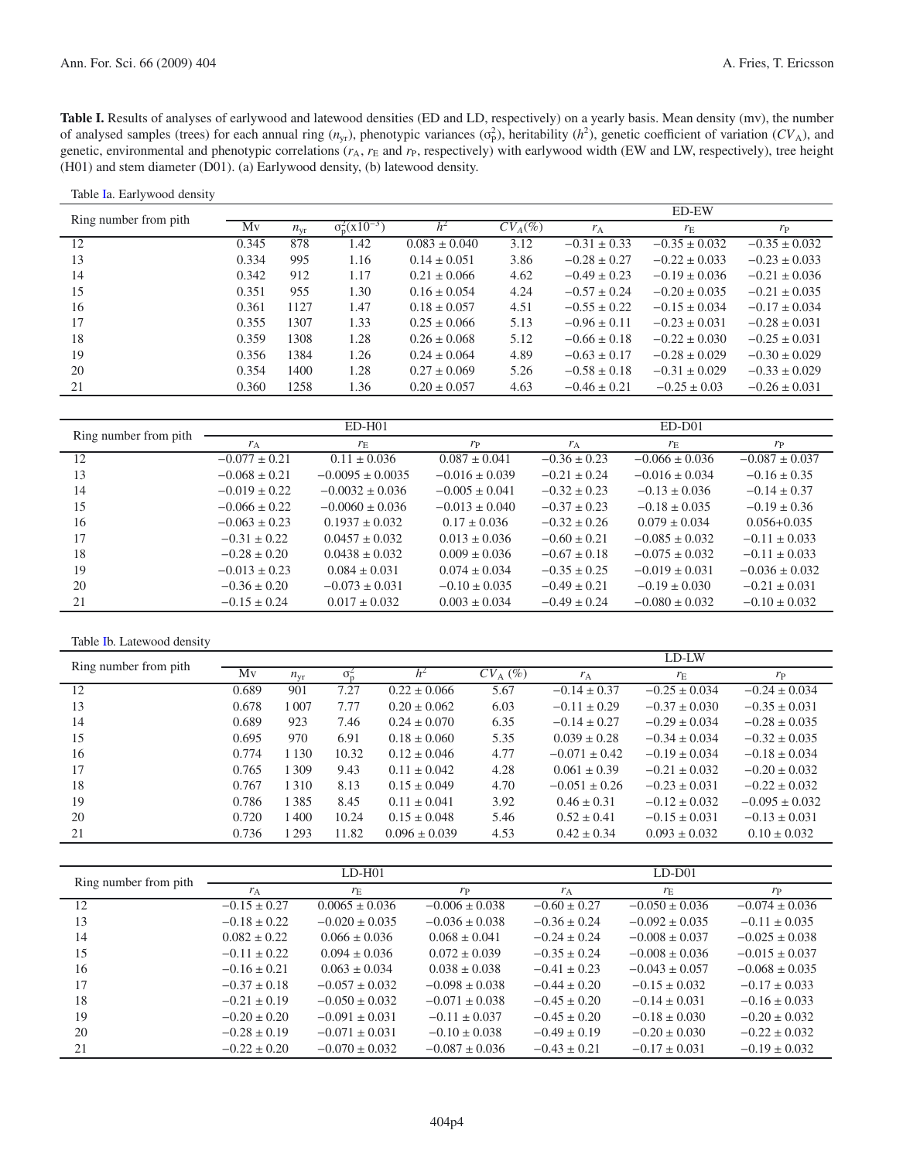<span id="page-3-0"></span>Table I. Results of analyses of earlywood and latewood densities (ED and LD, respectively) on a yearly basis. Mean density (mv), the number of analysed samples (trees) for each annual ring  $(n_{yr})$ , phenotypic variances  $(\sigma_p^2)$ , heritability  $(h^2)$ , genetic coefficient of variation  $(CV_A)$ , and genetic, environmental and phenotypic correlations  $(r_A, r_E$  and  $r_P$ , respectively) with earlywood width (EW and LW, respectively), tree height (H01) and stem diameter (D01). (a) Earlywood density, (b) latewood density.

|  | Table Ia. Earlywood density |  |
|--|-----------------------------|--|
|  |                             |  |

|                        |       |              |                                   |                   |            |                  | ED-EW             |                   |
|------------------------|-------|--------------|-----------------------------------|-------------------|------------|------------------|-------------------|-------------------|
| Ring number from pith. | Mv    | $n_{\rm vr}$ | $\sigma_p^2(x\overline{10^{-3}})$ |                   | $CV_A(\%)$ | $r_A$            | $r_{\rm E}$       | $r_{\rm P}$       |
| 12                     | 0.345 | 878          | 1.42                              | $0.083 \pm 0.040$ | 3.12       | $-0.31 \pm 0.33$ | $-0.35 \pm 0.032$ | $-0.35 \pm 0.032$ |
| 13                     | 0.334 | 995          | 1.16                              | $0.14 \pm 0.051$  | 3.86       | $-0.28 \pm 0.27$ | $-0.22 \pm 0.033$ | $-0.23 \pm 0.033$ |
| 14                     | 0.342 | 912          | 1.17                              | $0.21 \pm 0.066$  | 4.62       | $-0.49 \pm 0.23$ | $-0.19 \pm 0.036$ | $-0.21 \pm 0.036$ |
| 15                     | 0.351 | 955          | 1.30                              | $0.16 \pm 0.054$  | 4.24       | $-0.57 \pm 0.24$ | $-0.20 \pm 0.035$ | $-0.21 \pm 0.035$ |
| 16                     | 0.361 | 1127         | 1.47                              | $0.18 \pm 0.057$  | 4.51       | $-0.55 \pm 0.22$ | $-0.15 \pm 0.034$ | $-0.17 \pm 0.034$ |
| 17                     | 0.355 | 1307         | 1.33                              | $0.25 \pm 0.066$  | 5.13       | $-0.96 \pm 0.11$ | $-0.23 \pm 0.031$ | $-0.28 \pm 0.031$ |
| 18                     | 0.359 | 1308         | 1.28                              | $0.26 \pm 0.068$  | 5.12       | $-0.66 \pm 0.18$ | $-0.22 \pm 0.030$ | $-0.25 \pm 0.031$ |
| 19                     | 0.356 | 1384         | 1.26                              | $0.24 + 0.064$    | 4.89       | $-0.63 \pm 0.17$ | $-0.28 \pm 0.029$ | $-0.30 \pm 0.029$ |
| 20                     | 0.354 | 1400         | 1.28                              | $0.27 \pm 0.069$  | 5.26       | $-0.58 \pm 0.18$ | $-0.31 \pm 0.029$ | $-0.33 \pm 0.029$ |
| 21                     | 0.360 | 1258         | 1.36                              | $0.20 \pm 0.057$  | 4.63       | $-0.46 \pm 0.21$ | $-0.25 \pm 0.03$  | $-0.26 \pm 0.031$ |

| Ring number from pith. |                   | $ED-H01$             |                    | $ED-D01$         |                    |                    |  |
|------------------------|-------------------|----------------------|--------------------|------------------|--------------------|--------------------|--|
|                        | $r_A$             | $r_{\rm E}$          | $r_{\rm P}$        | $r_A$            | $r_{\rm E}$        | $r_{\rm P}$        |  |
| 12                     | $-0.077 \pm 0.21$ | $0.11 \pm 0.036$     | $0.087 \pm 0.041$  | $-0.36 \pm 0.23$ | $-0.066 \pm 0.036$ | $-0.087 \pm 0.037$ |  |
| 13                     | $-0.068 \pm 0.21$ | $-0.0095 \pm 0.0035$ | $-0.016 \pm 0.039$ | $-0.21 \pm 0.24$ | $-0.016 \pm 0.034$ | $-0.16 \pm 0.35$   |  |
| 14                     | $-0.019 \pm 0.22$ | $-0.0032 + 0.036$    | $-0.005 \pm 0.041$ | $-0.32 \pm 0.23$ | $-0.13 \pm 0.036$  | $-0.14 \pm 0.37$   |  |
| 15                     | $-0.066 \pm 0.22$ | $-0.0060 + 0.036$    | $-0.013 \pm 0.040$ | $-0.37 \pm 0.23$ | $-0.18 \pm 0.035$  | $-0.19 \pm 0.36$   |  |
| 16                     | $-0.063 \pm 0.23$ | $0.1937 + 0.032$     | $0.17 \pm 0.036$   | $-0.32 \pm 0.26$ | $0.079 \pm 0.034$  | $0.056 + 0.035$    |  |
| 17                     | $-0.31 \pm 0.22$  | $0.0457 \pm 0.032$   | $0.013 \pm 0.036$  | $-0.60 \pm 0.21$ | $-0.085 \pm 0.032$ | $-0.11 \pm 0.033$  |  |
| 18                     | $-0.28 \pm 0.20$  | $0.0438 \pm 0.032$   | $0.009 \pm 0.036$  | $-0.67 \pm 0.18$ | $-0.075 \pm 0.032$ | $-0.11 \pm 0.033$  |  |
| 19                     | $-0.013 \pm 0.23$ | $0.084 \pm 0.031$    | $0.074 \pm 0.034$  | $-0.35 \pm 0.25$ | $-0.019 \pm 0.031$ | $-0.036 \pm 0.032$ |  |
| 20                     | $-0.36 \pm 0.20$  | $-0.073 \pm 0.031$   | $-0.10 \pm 0.035$  | $-0.49 \pm 0.21$ | $-0.19 \pm 0.030$  | $-0.21 \pm 0.031$  |  |
| 21                     | $-0.15 \pm 0.24$  | $0.017 \pm 0.032$    | $0.003 \pm 0.034$  | $-0.49 \pm 0.24$ | $-0.080 \pm 0.032$ | $-0.10 \pm 0.032$  |  |

### Table [Ib](#page-3-0). Latewood density

| Ring number from pith. |       |              |       |                   |             |                   | LD-LW             |                    |
|------------------------|-------|--------------|-------|-------------------|-------------|-------------------|-------------------|--------------------|
|                        | Mv    | $n_{\rm vr}$ |       | $h^2$             | $CV_A (\%)$ | $r_A$             | $r_{\rm E}$       | $r_{\rm P}$        |
| 12                     | 0.689 | 901          | 7.27  | $0.22 \pm 0.066$  | 5.67        | $-0.14 \pm 0.37$  | $-0.25 \pm 0.034$ | $-0.24 \pm 0.034$  |
| 13                     | 0.678 | 1 0 0 7      | 7.77  | $0.20 \pm 0.062$  | 6.03        | $-0.11 \pm 0.29$  | $-0.37 \pm 0.030$ | $-0.35 \pm 0.031$  |
| 14                     | 0.689 | 923          | 7.46  | $0.24 \pm 0.070$  | 6.35        | $-0.14 \pm 0.27$  | $-0.29 \pm 0.034$ | $-0.28 \pm 0.035$  |
| 15                     | 0.695 | 970          | 6.91  | $0.18 \pm 0.060$  | 5.35        | $0.039 \pm 0.28$  | $-0.34 \pm 0.034$ | $-0.32 \pm 0.035$  |
| 16                     | 0.774 | 1 1 3 0      | 10.32 | $0.12 \pm 0.046$  | 4.77        | $-0.071 \pm 0.42$ | $-0.19 \pm 0.034$ | $-0.18 \pm 0.034$  |
| 17                     | 0.765 | 1309         | 9.43  | $0.11 \pm 0.042$  | 4.28        | $0.061 \pm 0.39$  | $-0.21 \pm 0.032$ | $-0.20 \pm 0.032$  |
| 18                     | 0.767 | 1310         | 8.13  | $0.15 \pm 0.049$  | 4.70        | $-0.051 \pm 0.26$ | $-0.23 \pm 0.031$ | $-0.22 \pm 0.032$  |
| 19                     | 0.786 | 1385         | 8.45  | $0.11 \pm 0.041$  | 3.92        | $0.46 \pm 0.31$   | $-0.12 \pm 0.032$ | $-0.095 \pm 0.032$ |
| 20                     | 0.720 | 1400         | 10.24 | $0.15 \pm 0.048$  | 5.46        | $0.52 \pm 0.41$   | $-0.15 \pm 0.031$ | $-0.13 \pm 0.031$  |
| 21                     | 0.736 | 1293         | 11.82 | $0.096 \pm 0.039$ | 4.53        | $0.42 \pm 0.34$   | $0.093 \pm 0.032$ | $0.10 \pm 0.032$   |

| Ring number from pith. |                  | $LD-H01$           |                    | $LD-D01$         |                    |                    |  |  |
|------------------------|------------------|--------------------|--------------------|------------------|--------------------|--------------------|--|--|
|                        | $r_A$            | $r_{\rm E}$        | $r_{\rm P}$        | $r_A$            | $r_{\rm E}$        | $r_{\rm P}$        |  |  |
| 12                     | $-0.15 \pm 0.27$ | $0.0065 \pm 0.036$ | $-0.006 \pm 0.038$ | $-0.60 \pm 0.27$ | $-0.050 \pm 0.036$ | $-0.074 \pm 0.036$ |  |  |
| 13                     | $-0.18 \pm 0.22$ | $-0.020 \pm 0.035$ | $-0.036 \pm 0.038$ | $-0.36 \pm 0.24$ | $-0.092 \pm 0.035$ | $-0.11 \pm 0.035$  |  |  |
| 14                     | $0.082 \pm 0.22$ | $0.066 \pm 0.036$  | $0.068 \pm 0.041$  | $-0.24 \pm 0.24$ | $-0.008 \pm 0.037$ | $-0.025 \pm 0.038$ |  |  |
| 15                     | $-0.11 \pm 0.22$ | $0.094 \pm 0.036$  | $0.072 \pm 0.039$  | $-0.35 \pm 0.24$ | $-0.008 \pm 0.036$ | $-0.015 \pm 0.037$ |  |  |
| 16                     | $-0.16 \pm 0.21$ | $0.063 + 0.034$    | $0.038 \pm 0.038$  | $-0.41 \pm 0.23$ | $-0.043 \pm 0.057$ | $-0.068 \pm 0.035$ |  |  |
| 17                     | $-0.37 \pm 0.18$ | $-0.057 \pm 0.032$ | $-0.098 \pm 0.038$ | $-0.44 \pm 0.20$ | $-0.15 \pm 0.032$  | $-0.17 \pm 0.033$  |  |  |
| 18                     | $-0.21 \pm 0.19$ | $-0.050 \pm 0.032$ | $-0.071 \pm 0.038$ | $-0.45 \pm 0.20$ | $-0.14 \pm 0.031$  | $-0.16 \pm 0.033$  |  |  |
| 19                     | $-0.20 \pm 0.20$ | $-0.091 \pm 0.031$ | $-0.11 \pm 0.037$  | $-0.45 \pm 0.20$ | $-0.18 \pm 0.030$  | $-0.20 \pm 0.032$  |  |  |
| 20                     | $-0.28 \pm 0.19$ | $-0.071 \pm 0.031$ | $-0.10 \pm 0.038$  | $-0.49 \pm 0.19$ | $-0.20 \pm 0.030$  | $-0.22 \pm 0.032$  |  |  |
| 21                     | $-0.22 \pm 0.20$ | $-0.070 \pm 0.032$ | $-0.087 \pm 0.036$ | $-0.43 \pm 0.21$ | $-0.17 \pm 0.031$  | $-0.19 \pm 0.032$  |  |  |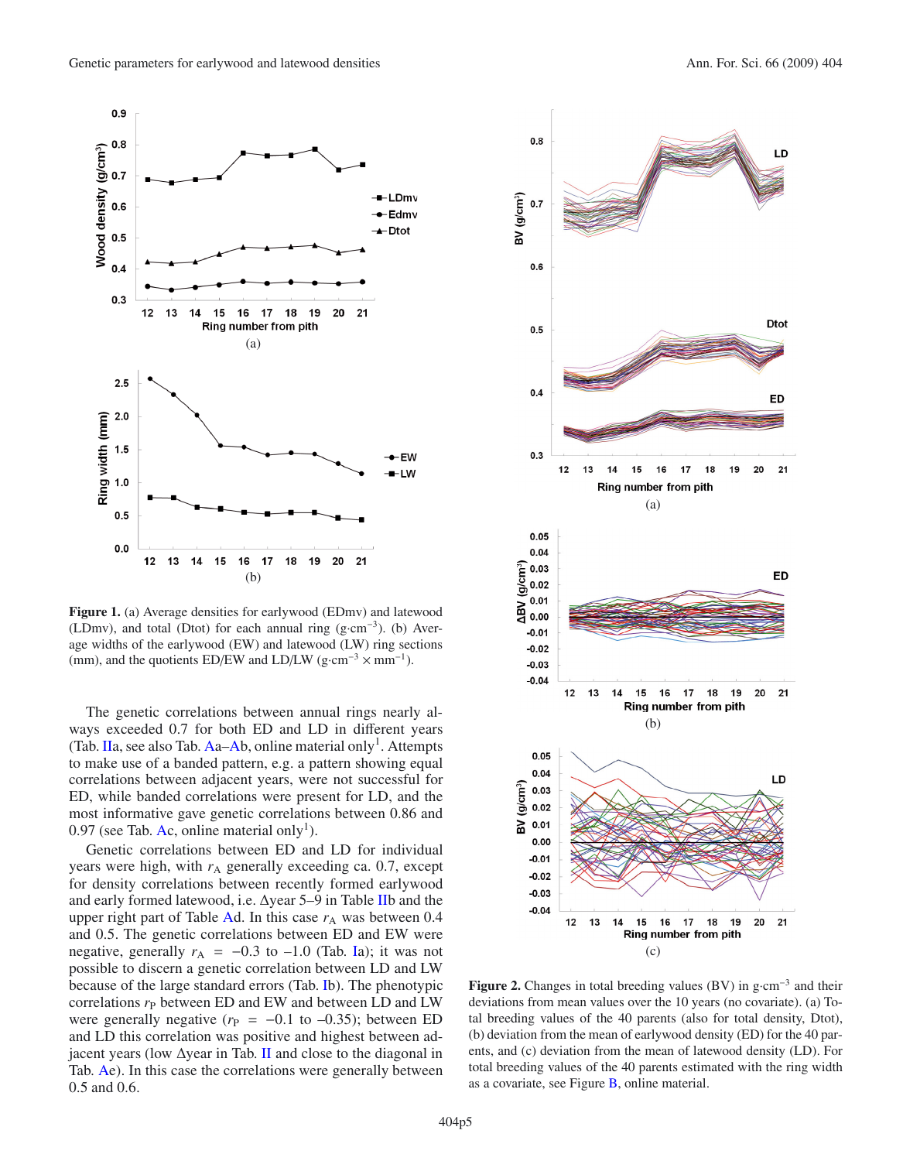

<span id="page-4-0"></span>**Figure 1.** (a) Average densities for earlywood (EDmv) and latewood (LDmv), and total (Dtot) for each annual ring  $(g\text{-}cm^{-3})$ . (b) Average widths of the earlywood (EW) and latewood (LW) ring sections (mm), and the quotients ED/EW and LD/LW ( $g \cdot cm^{-3} \times mm^{-1}$ ).

The genetic correlations between annual rings nearly always exceeded 0.7 for both ED and LD in different years (Tab. [IIa](#page-6-0), see also Tab. [Aa–Ab](#page-3-0), online material only<sup>1</sup>. Attempts to make use of a banded pattern, e.g. a pattern showing equal correlations between adjacent years, were not successful for ED, while banded correlations were present for LD, and the most informative gave genetic correlations between 0.86 and 0.97 (see Tab. [Ac](#page-3-0), online material only<sup>1</sup>).

Genetic correlations between ED and LD for individual years were high, with  $r_A$  generally exceeding ca. 0.7, except for density correlations between recently formed earlywood and early formed latewood, i.e. Δyear 5–9 in Table [IIb](#page-6-0) and the upper right part of Table [Ad](#page-3-0). In this case  $r_A$  was between 0.4 and 0.5. The genetic correlations between ED and EW were negative, generally  $r_A = -0.3$  to  $-1.0$  (Tab. [Ia](#page-3-0)); it was not possible to discern a genetic correlation between LD and LW because of the large standard errors (Tab. [Ib](#page-3-0)). The phenotypic correlations  $r_P$  between ED and EW and between LD and LW were generally negative ( $r_P = -0.1$  to  $-0.35$ ); between ED and LD this correlation was positive and highest between adjacent years (low  $\Delta$ year in Tab. [II](#page-6-0) and close to the diagonal in Tab. [Ae](#page-3-0)). In this case the correlations were generally between 0.5 and 0.6.



<span id="page-4-1"></span>**Figure 2.** Changes in total breeding values (BV) in g·cm−<sup>3</sup> and their deviations from mean values over the 10 years (no covariate). (a) Total breeding values of the 40 parents (also for total density, Dtot), (b) deviation from the mean of earlywood density (ED) for the 40 parents, and (c) deviation from the mean of latewood density (LD). For total breeding values of the 40 parents estimated with the ring width as a covariate, see Figure [B,](#page-4-0) online material.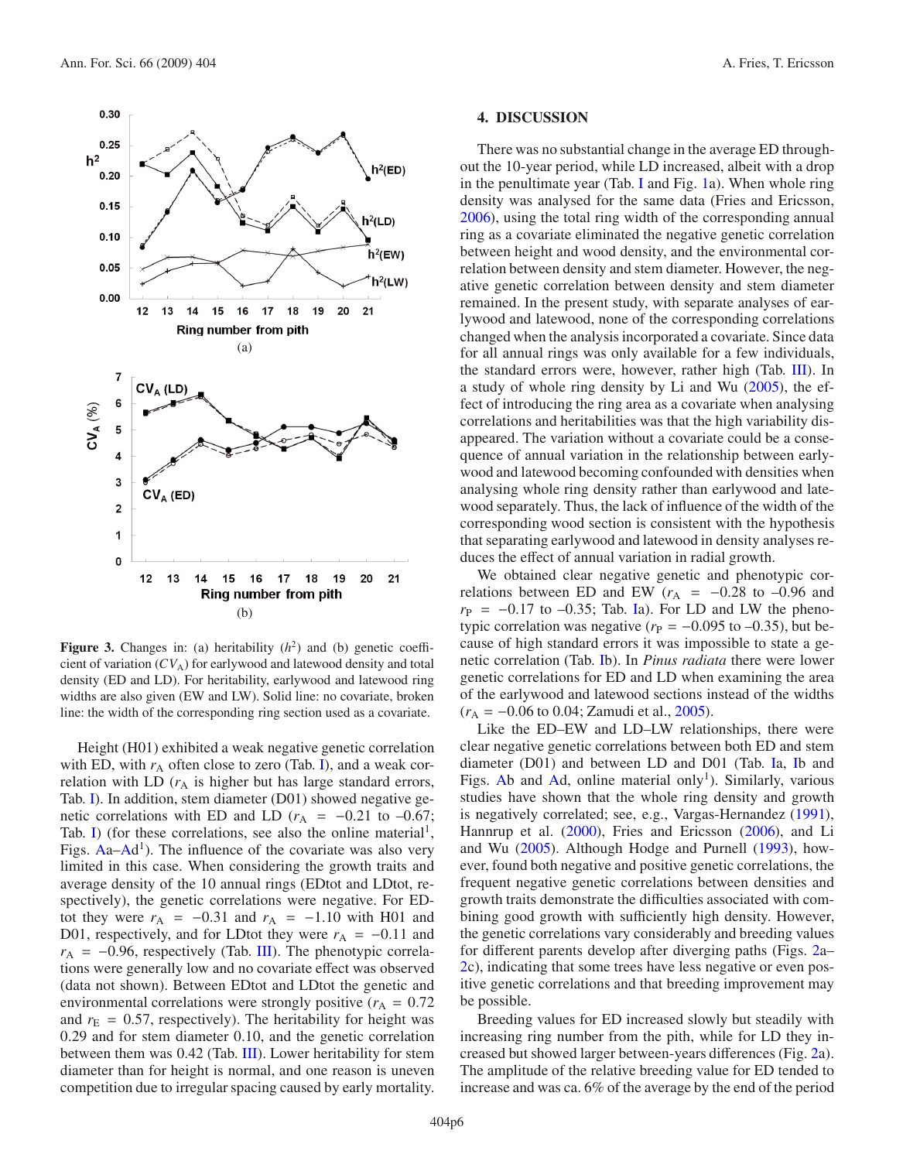

#### **4. DISCUSSION**

There was no substantial change in the average ED throughout the 10-year period, while LD increased, albeit with a drop in the penultimate year (Tab. [I](#page-3-0) and Fig. [1a](#page-4-0)). When whole ring density was analysed for the same data (Fries and Ericsson, [2006\)](#page-7-6), using the total ring width of the corresponding annual ring as a covariate eliminated the negative genetic correlation between height and wood density, and the environmental correlation between density and stem diameter. However, the negative genetic correlation between density and stem diameter remained. In the present study, with separate analyses of earlywood and latewood, none of the corresponding correlations changed when the analysis incorporated a covariate. Since data for all annual rings was only available for a few individuals, the standard errors were, however, rather high (Tab. [III\)](#page-7-16). In a study of whole ring density by Li and Wu [\(2005\)](#page-7-5), the effect of introducing the ring area as a covariate when analysing correlations and heritabilities was that the high variability disappeared. The variation without a covariate could be a consequence of annual variation in the relationship between earlywood and latewood becoming confounded with densities when analysing whole ring density rather than earlywood and latewood separately. Thus, the lack of influence of the width of the corresponding wood section is consistent with the hypothesis that separating earlywood and latewood in density analyses reduces the effect of annual variation in radial growth.

We obtained clear negative genetic and phenotypic correlations between ED and EW ( $r_A$  =  $-0.28$  to  $-0.96$  and  $r_{\rm P}$  =  $-0.17$  to  $-0.35$ ; Tab. [Ia](#page-3-0)). For LD and LW the phenotypic correlation was negative ( $r_P = -0.095$  to  $-0.35$ ), but because of high standard errors it was impossible to state a genetic correlation (Tab. [Ib](#page-3-0)). In *Pinus radiata* there were lower genetic correlations for ED and LD when examining the area of the earlywood and latewood sections instead of the widths (*r*<sup>A</sup> = −0.06 to 0.04; Zamudi et al., [2005\)](#page-7-3).

Like the ED–EW and LD–LW relationships, there were clear negative genetic correlations between both ED and stem diameter (D01) and between LD and D01 (Tab. [Ia](#page-3-0), [Ib](#page-3-0) and Figs. [Ab](#page-4-0) and [Ad](#page-4-0), online material only<sup>1</sup>). Similarly, various studies have shown that the whole ring density and growth is negatively correlated; see, e.g., Vargas-Hernandez [\(1991](#page-7-17)), Hannrup et al. [\(2000\)](#page-7-4), Fries and Ericsson [\(2006\)](#page-7-6), and Li and Wu [\(2005](#page-7-5)). Although Hodge and Purnell [\(1993\)](#page-7-0), however, found both negative and positive genetic correlations, the frequent negative genetic correlations between densities and growth traits demonstrate the difficulties associated with combining good growth with sufficiently high density. However, the genetic correlations vary considerably and breeding values for different parents develop after diverging paths (Figs. [2a](#page-4-1)– [2c](#page-4-1)), indicating that some trees have less negative or even positive genetic correlations and that breeding improvement may be possible.

Breeding values for ED increased slowly but steadily with increasing ring number from the pith, while for LD they increased but showed larger between-years differences (Fig. [2a](#page-4-1)). The amplitude of the relative breeding value for ED tended to increase and was ca. 6% of the average by the end of the period

<span id="page-5-0"></span>**Figure 3.** Changes in: (a) heritability  $(h^2)$  and (b) genetic coefficient of variation  $(CV_A)$  for earlywood and latewood density and total density (ED and LD). For heritability, earlywood and latewood ring widths are also given (EW and LW). Solid line: no covariate, broken line: the width of the corresponding ring section used as a covariate.

Height (H01) exhibited a weak negative genetic correlation with ED, with  $r_A$  often close to zero (Tab. [I\)](#page-3-0), and a weak correlation with LD  $(r_A)$  is higher but has large standard errors, Tab. [I\)](#page-3-0). In addition, stem diameter (D01) showed negative genetic correlations with ED and LD ( $r_A$  = −0.21 to −0.67; Tab. [I\)](#page-3-0) (for these correlations, see also the online material<sup>1</sup>, Figs.  $Aa-Ad<sup>1</sup>$ . The influence of the covariate was also very limited in this case. When considering the growth traits and average density of the 10 annual rings (EDtot and LDtot, respectively), the genetic correlations were negative. For EDtot they were  $r_A = -0.31$  and  $r_A = -1.10$  with H01 and D01, respectively, and for LDtot they were  $r_A = -0.11$  and  $r_A$  =  $-0.96$ , respectively (Tab. [III\)](#page-7-16). The phenotypic correlations were generally low and no covariate effect was observed (data not shown). Between EDtot and LDtot the genetic and environmental correlations were strongly positive  $(r_A = 0.72)$ and  $r_{\rm E}$  = 0.57, respectively). The heritability for height was 0.29 and for stem diameter 0.10, and the genetic correlation between them was  $0.42$  (Tab. [III\)](#page-7-16). Lower heritability for stem diameter than for height is normal, and one reason is uneven competition due to irregular spacing caused by early mortality.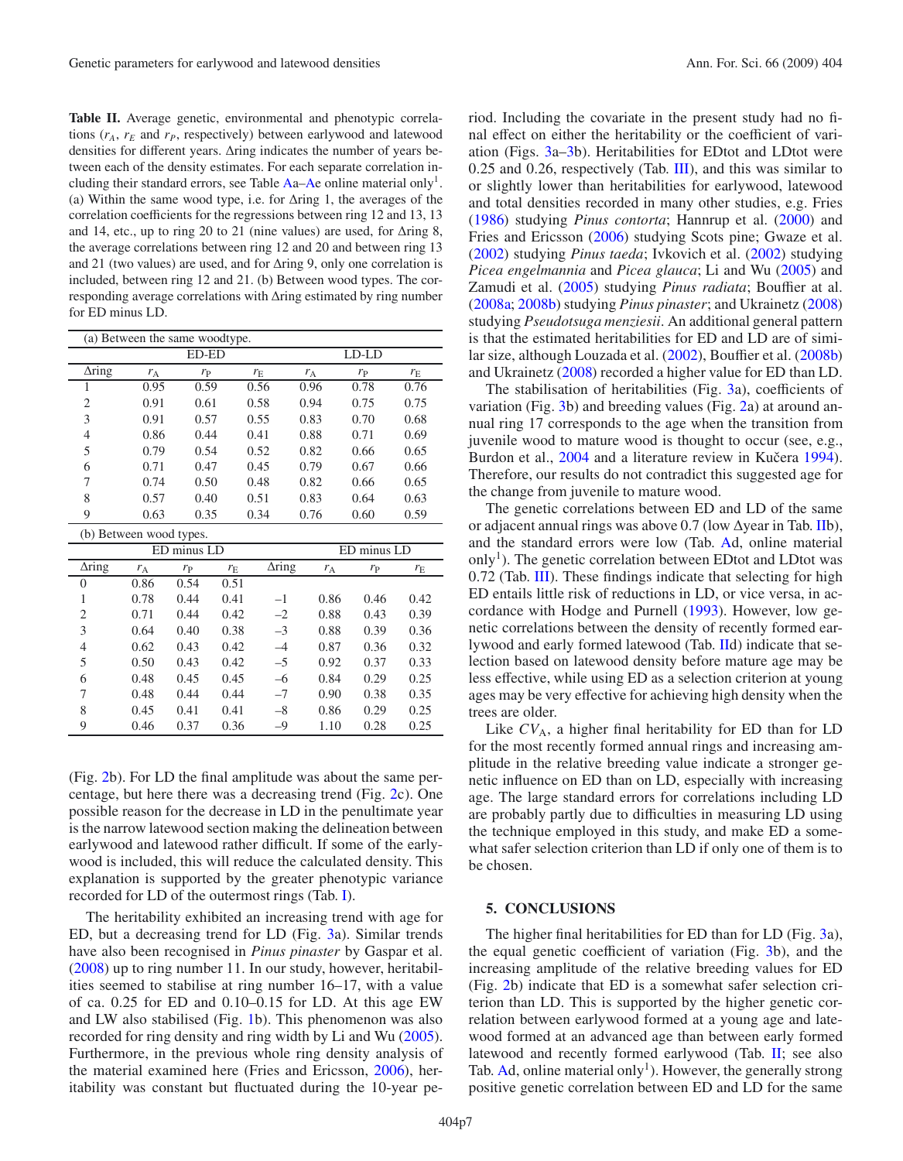<span id="page-6-0"></span>**Table II.** Average genetic, environmental and phenotypic correlations  $(r_A, r_E$  and  $r_P$ , respectively) between earlywood and latewood densities for different years. Δring indicates the number of years between each of the density estimates. For each separate correlation including their standard errors, see Table  $Aa-Ae$  online material only<sup>1</sup>. (a) Within the same wood type, i.e. for  $\Delta$ ring 1, the averages of the correlation coefficients for the regressions between ring 12 and 13, 13 and 14, etc., up to ring 20 to 21 (nine values) are used, for Δring 8, the average correlations between ring 12 and 20 and between ring 13 and 21 (two values) are used, and for Δring 9, only one correlation is included, between ring 12 and 21. (b) Between wood types. The corresponding average correlations with Δring estimated by ring number for ED minus LD.

| (a) Between the same woodtype. |                         |             |             |                          |             |             |             |  |  |  |
|--------------------------------|-------------------------|-------------|-------------|--------------------------|-------------|-------------|-------------|--|--|--|
|                                |                         | ED-ED       |             | LD-LD                    |             |             |             |  |  |  |
| $\overline{\Delta}$ ring       | $r_A$                   | $r_{P}$     |             | $r_{\rm E}$              | $r_A$       | $r_{P}$     | $r_{\rm E}$ |  |  |  |
| $\mathbf{1}$                   | 0.95                    | 0.59        |             | 0.56                     | 0.96        | 0.78        | 0.76        |  |  |  |
| 2                              | 0.91                    | 0.61        |             | 0.58                     | 0.94        | 0.75        | 0.75        |  |  |  |
| 3                              | 0.91                    | 0.57        |             | 0.55                     | 0.83        | 0.70        | 0.68        |  |  |  |
| $\overline{4}$                 | 0.86                    | 0.44        |             | 0.41                     | 0.88        | 0.71        | 0.69        |  |  |  |
| 5                              | 0.79                    | 0.54        |             | 0.52                     | 0.82        | 0.66        | 0.65        |  |  |  |
| 6                              | 0.71                    | 0.47        |             | 0.45                     | 0.79        | 0.67        | 0.66        |  |  |  |
| 7                              | 0.74                    | 0.50        |             | 0.48                     | 0.82        | 0.66        | 0.65        |  |  |  |
| 8                              | 0.57                    | 0.40        |             | 0.51                     | 0.83        | 0.64        | 0.63        |  |  |  |
| 9                              | 0.63                    | 0.35        |             | 0.34                     | 0.76        | 0.60        | 0.59        |  |  |  |
|                                | (b) Between wood types. |             |             |                          |             |             |             |  |  |  |
|                                |                         | ED minus LD |             |                          | ED minus LD |             |             |  |  |  |
| $\overline{\text{Aring}}$      | $r_A$                   | $r_{\rm P}$ | $r_{\rm E}$ | $\overline{\Delta}$ ring | $r_A$       | $r_{\rm P}$ | $r_{\rm E}$ |  |  |  |
| $\boldsymbol{0}$               | 0.86                    | 0.54        | 0.51        |                          |             |             |             |  |  |  |
| 1                              | 0.78                    | 0.44        | 0.41        | $-1$                     | 0.86        | 0.46        | 0.42        |  |  |  |
| $\overline{c}$                 | 0.71                    | 0.44        | 0.42        | $-2$                     | 0.88        | 0.43        | 0.39        |  |  |  |
| 3                              | 0.64                    | 0.40        | 0.38        | $-3$                     | 0.88        | 0.39        | 0.36        |  |  |  |
| 4                              | 0.62                    | 0.43        | 0.42        | $-4$                     | 0.87        | 0.36        | 0.32        |  |  |  |
| 5                              | 0.50                    | 0.43        | 0.42        | $-5$                     | 0.92        | 0.37        | 0.33        |  |  |  |
| 6                              | 0.48                    | 0.45        | 0.45        | $-6$                     | 0.84        | 0.29        | 0.25        |  |  |  |
| 7                              | 0.48                    | 0.44        | 0.44        | $-7$                     | 0.90        | 0.38        | 0.35        |  |  |  |
| 8                              | 0.45                    | 0.41        | 0.41        | $-8$                     | 0.86        | 0.29        | 0.25        |  |  |  |
| 9                              | 0.46                    | 0.37        | 0.36        | $-9$                     | 1.10        | 0.28        | 0.25        |  |  |  |

(Fig. [2b](#page-4-1)). For LD the final amplitude was about the same percentage, but here there was a decreasing trend (Fig. [2c](#page-4-1)). One possible reason for the decrease in LD in the penultimate year is the narrow latewood section making the delineation between earlywood and latewood rather difficult. If some of the earlywood is included, this will reduce the calculated density. This explanation is supported by the greater phenotypic variance recorded for LD of the outermost rings (Tab. [I\)](#page-3-0).

The heritability exhibited an increasing trend with age for ED, but a decreasing trend for LD (Fig. [3a](#page-5-0)). Similar trends have also been recognised in *Pinus pinaster* by Gaspar et al. [\(2008\)](#page-7-18) up to ring number 11. In our study, however, heritabilities seemed to stabilise at ring number 16–17, with a value of ca. 0.25 for ED and 0.10–0.15 for LD. At this age EW and LW also stabilised (Fig. [1b](#page-4-0)). This phenomenon was also recorded for ring density and ring width by Li and Wu [\(2005](#page-7-5)). Furthermore, in the previous whole ring density analysis of the material examined here (Fries and Ericsson, [2006\)](#page-7-6), heritability was constant but fluctuated during the 10-year period. Including the covariate in the present study had no final effect on either the heritability or the coefficient of variation (Figs. [3a–3b](#page-5-0)). Heritabilities for EDtot and LDtot were 0.25 and 0.26, respectively (Tab. [III\)](#page-7-16), and this was similar to or slightly lower than heritabilities for earlywood, latewood and total densities recorded in many other studies, e.g. Fries [\(1986\)](#page-7-19) studying *Pinus contorta*; Hannrup et al. [\(2000\)](#page-7-4) and Fries and Ericsson [\(2006\)](#page-7-6) studying Scots pine; Gwaze et al. [\(2002\)](#page-7-20) studying *Pinus taeda*; Ivkovich et al. [\(2002\)](#page-7-21) studying *Picea engelmannia* and *Picea glauca*; Li and Wu [\(2005\)](#page-7-5) and Zamudi et al. [\(2005\)](#page-7-3) studying *Pinus radiata*; Bouffier at al. [\(2008a;](#page-7-22) [2008b\)](#page-7-23) studying *Pinus pinaster*; and Ukrainetz [\(2008\)](#page-7-24) studying *Pseudotsuga menziesii*. An additional general pattern is that the estimated heritabilities for ED and LD are of similar size, although Louzada et al. [\(2002](#page-7-25)), Bouffier et al. [\(2008b\)](#page-7-23) and Ukrainetz [\(2008\)](#page-7-24) recorded a higher value for ED than LD.

The stabilisation of heritabilities (Fig. [3a](#page-5-0)), coefficients of variation (Fig. [3b](#page-5-0)) and breeding values (Fig. [2a](#page-4-1)) at around annual ring 17 corresponds to the age when the transition from juvenile wood to mature wood is thought to occur (see, e.g., Burdon et al., [2004](#page-7-7) and a literature review in Kučera [1994\)](#page-7-11). Therefore, our results do not contradict this suggested age for the change from juvenile to mature wood.

The genetic correlations between ED and LD of the same or adjacent annual rings was above 0.7 (low Δyear in Tab. [IIb](#page-6-0)), and the standard errors were low (Tab. [Ad](#page-3-0), online material  $\text{only}^1$ ). The genetic correlation between EDtot and LDtot was 0.72 (Tab. [III\)](#page-7-16). These findings indicate that selecting for high ED entails little risk of reductions in LD, or vice versa, in accordance with Hodge and Purnell [\(1993\)](#page-7-0). However, low genetic correlations between the density of recently formed earlywood and early formed latewood (Tab. [IId](#page-6-0)) indicate that selection based on latewood density before mature age may be less effective, while using ED as a selection criterion at young ages may be very effective for achieving high density when the trees are older.

Like  $CV_A$ , a higher final heritability for ED than for LD for the most recently formed annual rings and increasing amplitude in the relative breeding value indicate a stronger genetic influence on ED than on LD, especially with increasing age. The large standard errors for correlations including LD are probably partly due to difficulties in measuring LD using the technique employed in this study, and make ED a somewhat safer selection criterion than LD if only one of them is to be chosen.

## **5. CONCLUSIONS**

The higher final heritabilities for ED than for LD (Fig. [3a](#page-5-0)), the equal genetic coefficient of variation (Fig. [3b](#page-5-0)), and the increasing amplitude of the relative breeding values for ED (Fig. [2b](#page-4-1)) indicate that ED is a somewhat safer selection criterion than LD. This is supported by the higher genetic correlation between earlywood formed at a young age and latewood formed at an advanced age than between early formed latewood and recently formed earlywood (Tab. [II;](#page-6-0) see also Tab. [Ad](#page-3-0), online material only<sup>1</sup>). However, the generally strong positive genetic correlation between ED and LD for the same